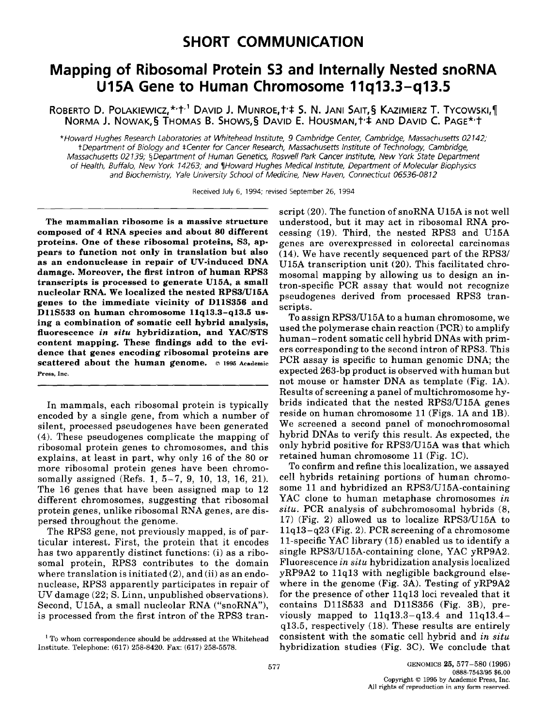## **Mapping of Ribosomal Protein \$3 and Internally Nested snoRNA U15A Gene to Human Chromosome 11q13.3-q13.5**

ROBERTO D. POLAKIEWICZ, \*'t<sup>.1</sup> David J. Munroe, t' $\ddagger$  S. N. Jani Sait, § Kazimierz T. Tycowski, [ **NORMA J. NOWAK,§ THOMAS B. SHOWS,§ DAVID E. HOUSMAN, t'\$ AND DAVID C. PAGE\*'t** 

*\*Howard Hughes Research Laboratories at Whitehead Institute, 9 Cambridge Center, Cambridge, Massachusetts 02142; t Department of Biology and ~Center for Cancer Research, Massachusetts Institute of Technology, Cambridge, Massachusetts 02139; §Department of Human Genetics, Roswell Park Cancer Institute, New York State Department of Health, Buffalo, New York 14263; and ¶Howard Hughes Medical Institute, Department of Molecular Biophysics and Biochemistry, Yale University School of Medicine, New Haven, Connecticut 06536-0812* 

Received July 6, 1994; revised September 26, 1994

**The mammalian ribosome is a massive structure composed of 4 RNA species and about 80 different proteins. One of these ribosomal proteins, \$3, appears to function not only in translation but also as an endonuclease in repair of UV-induced DNA damage. Moreover, the first intron of human RPS3 transcripts is processed to generate U15A, a small nucleolar RNA. We localized the nested RPS3/U15A genes to the immediate vicinity of DllS356 and DllS533 on human chromosome 11q13.3-q13.5 using a combination of somatic cell hybrid analysis, fluorescence** *in situ* **hybridization, and YAC/STS content mapping. These findings add to the evidence that genes encoding ribosomal proteins are scattered about the human genome. © 1995 Academic Press,** Inc.

In mammals, each ribosomal protein is typically encoded by a single gene, from which a number of silent, processed pseudogenes have been generated (4). These pseudogenes complicate the mapping of ribosomal protein genes to chromosomes, and this explains, at least in part, why only 16 of the 80 or more ribosomal protein genes have been chromosomally assigned (Refs. 1, 5-7, 9, 10, 13, 16, 21). The 16 genes that have been assigned map to 12 different chromosomes, suggesting that ribosomal protein genes, unlike ribosomal RNA genes, are dispersed throughout the genome.

The RPS3 gene, not previously mapped, is of particular interest. First, the protein that it encodes has two apparently distinct functions: (i) as a ribosomal protein, RPS3 contributes to the domain where translation is initiated  $(2)$ , and  $(ii)$  as an endonuclease, RPS3 apparently participates in repair of UV damage (22; S. Linn, unpublished observations). Second, U15A, a small nucleolar RNA ("snoRNA"), is processed from the first intron of the RPS3 transcript (20). The function of snoRNA U15A is not well understood, but it may act in ribosomal RNA processing (19). Third, the nested RPS3 and U15A genes are overexpressed in colorectal carcinomas (14). We have recently sequenced part of the RPS3/ U15A transcription unit (20). This facilitated chromosomal mapping by allowing us to design an intron-specific PCR assay that would not recognize pseudogenes derived from processed RPS3 transcripts.

To assign RPS3/U15A to a human chromosome, we used the polymerase chain reaction (PCR) to amplify human-rodent somatic cell hybrid DNAs with primers corresponding to the second intron of RPS3. This PCR assay is specific to human genomic DNA; the expected 263-bp product is observed with human but not mouse or hamster DNA as template (Fig. 1A). Results of screening a panel of multichromosome hybrids indicated that the nested RPS3/U15A genes reside on human chromosome 11 (Figs. 1A and 1B). We screened a second panel of monochromosomal hybrid DNAs to verify this result. As expected, the only hybrid positive for RPS3/U15A was that which retained human chromosome 11 (Fig. 1C).

To confirm and refine this localization, we assayed cell hybrids retaining portions of human chromosome 11 and hybridized an RPS3/U15A-containing YAC clone to human metaphase chromosomes *in situ.* PCR analysis of subchromosomal hybrids (8, 17) (Fig. 2) allowed us to localize RPS3/U15A to  $11q13-q23$  (Fig. 2). PCR screening of a chromosome 11-specific YAC library (15) enabled us to identify a single RPS3/U15A-containing clone, YAC yRP9A2. Fluorescence *in situ* hybridization analysis localized yRP9A2 to l lq13 with negligible background elsewhere in the genome (Fig. 3A). Testing of yRP9A2 for the presence of other llq13 loci revealed that it contains D11S533 and D11S356 (Fig. 3B), previously mapped to  $11q13.3-q13.4$  and  $11q13.4$ q13.5, respectively (18). These results are entirely consistent with the somatic cell hybrid and *in situ*  hybridization studies (Fig. 3C). We conclude that

<sup>&</sup>lt;sup>1</sup> To whom correspondence should be addressed at the Whitehead Institute. Telephone: (617) 258-8420. Fax: (617) 258-5578.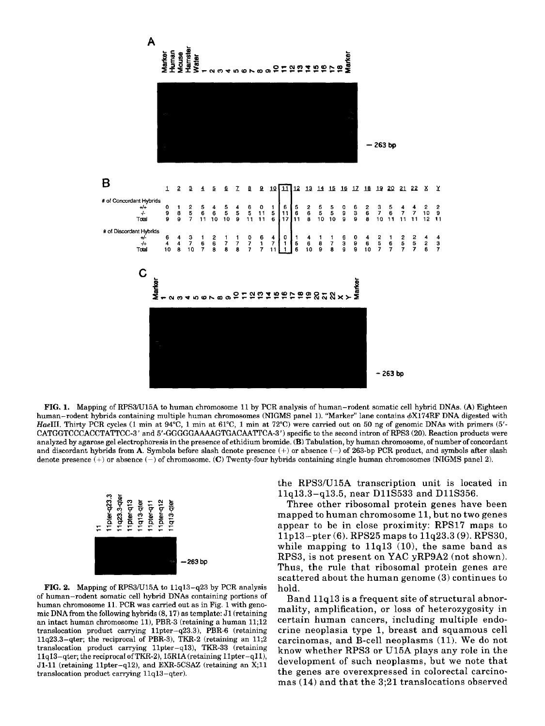

FIG, 1. Mapping of RPS3/U15A to human chromosome 11 by PCR analysis of human-rodent somatic cell hybrid DNAs. (A) Eighteen human-rodent hybrids containing multiple human chromosomes (NIGMS panel 1). "Marker" lane contains  $\phi X174RF$  DNA digested with *HaeIII.* Thirty PCR cycles (1 min at 94°C, 1 min at 61°C, 1 min at 72°C) were carried out on 50 ng of genomic DNAs with primers (5'-CATGGTCCCACCTATTCC-3' and 5'-GGGGGAAAAGTGACAATTCA-3 ') specific to the second intron of RPS3 (20). Reaction products were analyzed by agarose gel electrophoresis in the presence of ethidium bromide. (B) Tabulation, by human chromosome, of number of concordant and discordant hybrids from A. Symbols before slash denote presence  $(+)$  or absence  $(-)$  of 263-bp PCR product, and symbols after slash denote presence  $(+)$  or absence  $(-)$  of chromosome. (C) Twenty-four hybrids containing single human chromosomes (NIGMS panel 2).



FIG. 2. Mapping of RPS3/U15A to llq13-q23 by PCR analysis of human-rodent somatic cell hybrid DNAs containing portions of human chromosome 11. PCR was carried out as in Fig. I with genomic DNA from the following hybrids (8, 17) as template: J1 (retaining an intact human chromosome 11), PBR-3 (retaining a human 11;12 translocation product carrying 11pter-q23.3), PBR-6 (retaining llq23.3-qter; the reciprocal of PBR-3), TKR-2 (retaining an 11;2 translocation product carrying llpter-ql3), TKR-33 (retaining llql3-qter; the reciprocal ofTKR-2), 15R1A (retaining llpter-qll), Jl-ll (retaining llpter-ql2), and EXR-5CSAZ (retaining an X;ll translocation product carrying llql3-qter).

the RPS3/U15A transcription unit is located in llq13.3-q13.5, near DllS533 and D11S356.

Three other ribosomal protein genes have been mapped to human chromosome 11, but no two genes appear to be in close proximity: RPS17 maps to llpl3-pter (6). RPS25 maps to 11q23.3 (9). RPS30, while mapping to  $11q13$  (10), the same band as RPS3, is not present on YAC yRP9A2 (not shown). Thus, the rule that ribosomal protein genes are scattered about the human genome (3) continues to hold.

Band 11q13 is a frequent site of structural abnormality, amplification, or loss of heterozygosity in certain human cancers, including multiple endocrine neoplasia type 1, breast and squamous cell carcinomas, and B-cell neoplasms (11). We do not know whether RPS3 or U15A plays any role in the development of such neoplasms, but we note that the genes are overexpressed in colorectal carcinomas (14) and that the 3;21 translocations observed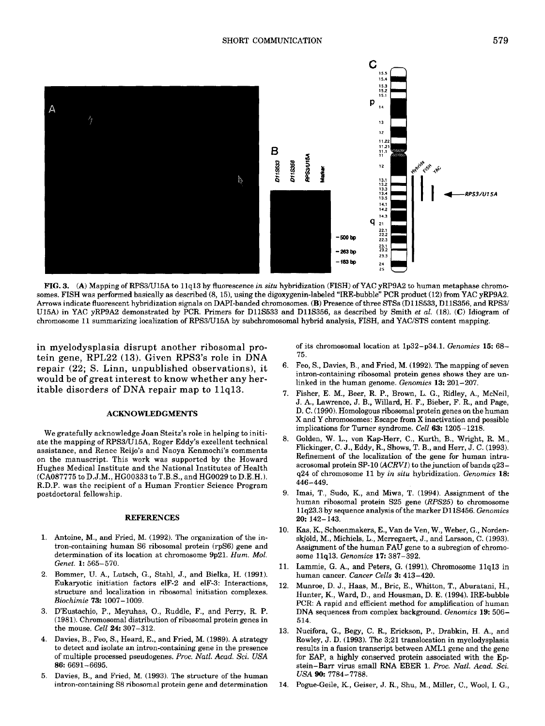

FIG. 3. (A) Mapping of RPS3/U15A to 11q13 by fluorescence *in situ* hybridization (FISH) ofYAC yRP9A2 to human metaphase chromosomes. FISH was performed basically as described (8, 15), using the digoxygenin-labeled "IRE-bubble" PCR product (12) from YAC yRP9A2. Arrows indicate fluorescent hybridization signals on DAPI-banded chromosomes. (B) Presence of three STSs (D11S533, D11S356, and RPS3/ U15A) in YAC yRP9A2 demonstrated by PCR. Primers for DllS533 and DllS356, as described by Smith *et al.* (18). (C) Idiogram of chromosome 11 summarizing localization of RPS3/U15A by subchromosomal hybrid analysis, FISH, and YAC/STS content mapping.

**in myelodysplasia disrupt another ribosomal protein gene, RPL22 (13). Given RPS3's role in DNA repair (22; S. Linn, unpublished observations), it would be of great interest to know whether any heritable disorders of DNA repair map to llq13.** 

## ACKNOWLEDGMENTS

We gratefully acknowledge Joan Steitz's role in helping to initiate the mapping of RPS3/U15A, Roger Eddy's excellent technical assistance, and Renee Reijo's and Naoya Kenmochi's comments on the manuscript. This work was supported by the Howard Hughes Medical Institute and the National Institutes of Health (CA087775 to D.J.M., HG00333 to T.B.S., and HG0029 to D.E.H.). R.D.P. was the recipient of a Human Frontier Science Program postdoctoral fellowship.

## REFERENCES

- 1. Antoine, M., and Fried, M. (1992). The organization of the intron-containing human \$6 ribosomal protein (rpS6) gene and determination of its location at chromosome 9p21. *Hum. Mol. Genet.* 1: 565-570.
- 2. Bommer, U. A., Lutsch, G., Stahl, J., and Bielka, H. (1991). Eukaryotic initiation factors elF-2 and elF-3: Interactions, structure and localization in ribosomal initiation complexes. *Biochimie* 73: 1007-1009.
- 3. D'Eustachio, P., Meyuhas, O., Ruddle, F., and Perry, R. P. (1981). Chromosomal distribution of ribosomal protein genes in the mouse. *Cell* 24: 307-312.
- 4. Davies, B., Feo, S., Heard, E., and Fried, M. (1989). A strategy to detect and isolate an intron-containing gene in the presence of multiple processed pseudogenes. *Proc. Natl. Acad. Sci. USA*  **86:** 6691-6695.
- 5. Davies, B., and Fried, M. (1993). The structure of the human intron-containing S8 ribosomal protein gene and determination

of its chromosomal location at 1p32-p34.1. *Genomics* 15: 68- 75.

- 6. Feo, S., Davies, B., and Fried, M. (1992). The mapping of seven intron-containing ribosomal protein genes shows they are unlinked in the human genome. *Genomics* 13: 201-207.
- 7. Fisher, E. M., Beer, R. P., Brown, L. G., Ridley, A., McNeil, J. A., Lawrence, J. B., Willard, H. F., Bieber, F. R., and Page, D. C. (1990). Homologous ribosomal protein genes on the human X and Y chromosomes: Escape from X inactivation and possible implications for Turner syndrome. *Cell* 63: 1205-1218.
- 8. Golden, W. L., von Kap-Herr, C., Kurth, B., Wright, R. M., Flickinger, C. J., Eddy, R., Shows, T. B., and Herr, J. C. (1993). Refinement of the localization of the gene for human intraacrosomal protein SP-10 *(ACRV1) to* the junction of bands q23 q24 of chromosome 11 by *in situ* hybridization. *Genomics* **18:**  446-449.
- 9. Imai, T., Sudo, K., and Miwa, T. (1994). Assignment of the human ribosomal protein \$25 gene *(RPS25)* to chromosome 1 lq23.3 by sequence analysis of the marker D11S456. *Genomics*  **20:** 142-143.
- 10. Kas, K., Schoenmakers, E., Van de Ven, W., Weber, G., Nordenskjöld, M., Michiels, L., Merregaert, J., and Larsson, C. (1993). Assignment of the human FAU gene to a subregion of chromosome llq13. *Genomics* 17: 387-392.
- 11. Lammie, G. A., and Peters, G. (1991). Chromosome 11q13 in human cancer. *Cancer Cells* 3: 413-420.
- 12. Munroe, D. J., Haas, M., Bric, E., Whitton, T., Aburatani, H., Hunter, K., Ward, D., and Housman, D. E. (1994). IRE-bubble PCR: A rapid and efficient method for amplification of human DNA sequences from complex background. *Genomics* 19: 506- 514.
- 13. Nucifora, G., Begy, C. R., Erickson, P., Drabkin, H. A., and Rowley, J. D. (1993). The 3;21 translocation in myelodysplasia results in a fusion transcript between AML1 gene and the gene for EAP, a highly conserved protein associated with the Epstein-Barr virus small RNA EBER 1. *Proc. Natl. Acad. Sci. USA* **90:** 7784-7788.
- 14. Pogue-Geile, K., Geiser, J. R., Shu, M., Miller, C., Wool, I. G.,